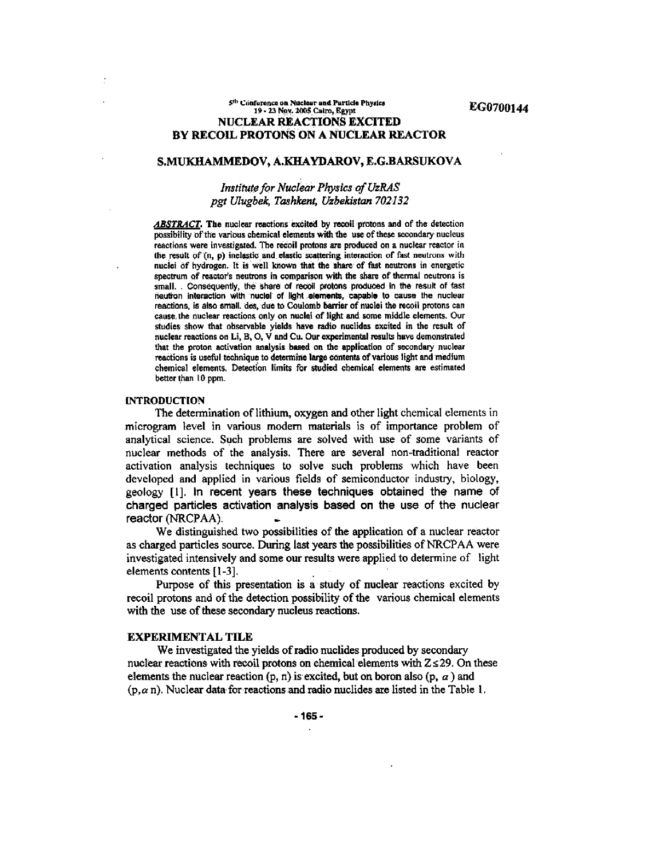### $5^{th}$  Conference on Nuclear and Particle Physics  $19 - 23$  Nov. 2005 Cairo. Revot 19 - 23 Nov. 2005 Cairo, Egypt NUCLEAR REACTIONS EXCITED BY RECOIL PROTONS ON A NUCLEAR REACTOR

# S.MUKHAMMEDOV, A.KHAYDAROV, E.G.BARSUKOVA

# *Institute for Nuclear Physics of UzRAS pgt Ulugbek, Tashkent, Uzbekistan 702132*

*ABSTRACT.* **The nuclear reactions excited by recoil protons and of the detection possibility of the various chemical elements with the use of these secondary nucleus reactions were investigated. The recoil protons are produced on a nuclear reactor in (he result of (n, p) inelastic and elastic scattering interaction of fast neutrons with nuclei of hydrogen. It is well known that the share of fast neutrons in energetic spectrum of reactor's neutrons in comparison with the share of thermal neutrons is small. . Consequently, the share of recoil protons produced In the result of fast neutron interaction With nuclei of light elements, capable to cause the nuclear reactions, is also small, des, due to Coulomb barrier of nuclei the recoil protons can cause, the nuclear reactions only on nuclei of light and some middle elements. Our studies show that observable yields have radio nuclides excited in the result of nuclear reactions on Li, B, O, V and Cu. Our experimental results have demonstrated that the proton activation analysts based on the application of secondary nuclear reactions is useful technique to determine large contents of various light and medium chemical elements. Detection limits for studied chemical elements are estimated better than 10 ppm.** 

# **INTRODUCTION**

The determination of lithium, oxygen and other light chemical elements in microgram level in various modem materials is of importance problem of analytical science. Such problems are solved with use of some variants of nuclear methods of the analysis. There are several non-traditional reactor activation analysis techniques to solve such problems which have been developed and applied in various fields of semiconductor industry, biology, geology [1]. in recent years these techniques obtained the name of charged particles activation analysis based on the use of the nuclear reactor (NRCPAA).

We distinguished two possibilities of the application of a nuclear reactor as charged particles source. During last years the possibilities of NRCPAA were investigated intensively and some our results were applied to determine of light elements contents [1-3].

Purpose of this presentation is a study of nuclear reactions excited by recoil protons and of the detection possibility of the various chemical elements with the use of these secondary nucleus reactions.

#### EXPERIMENTAL TILE

We investigated the yields of radio nuclides produced by secondary nuclear reactions with recoil protons on chemical elements with  $Z \le 29$ . On these elements the nuclear reaction (p, n) is excited, but on boron also (p,  $\alpha$ ) and  $(p, \alpha n)$ . Nuclear data for reactions and radio nuclides are listed in the Table 1.

**-165-**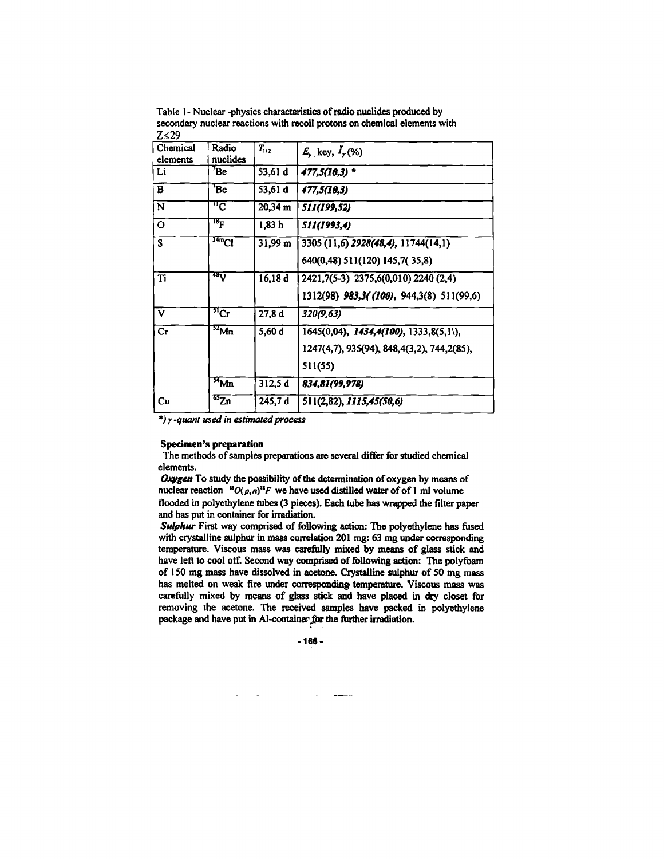**Table I - Nuclear -physics characteristics of radio nuclides produced by secondary nuclear reactions with recoil protons on chemical elements with**  *Z<,29* 

| Chemical<br>elements    | Radio<br>nuclides    | $T_{1/2}$             | $E_{y}$ key, $I_{y}(%$                       |
|-------------------------|----------------------|-----------------------|----------------------------------------------|
| Li                      | $7_{\rm Be}$         | 53,61 d               | 477,5(10,3) *                                |
| $\overline{\mathbf{B}}$ | $^7$ Be              | 53,61 d               | 477,5(10,3)                                  |
| N                       | $^{\mathrm{n}}$ C    | $20,34 \; \mathrm{m}$ | 511(199,52)                                  |
| $\circ$                 | $^{\rm 18}$ F        | 1,83 h                | 511(1993,4)                                  |
| S                       | 34mCl                | 31,99 m               | 3305 (11,6) 2928(48,4), 11744(14,1)          |
|                         |                      |                       | 640(0,48) 511(120) 145,7(35,8)               |
| Ti                      | 48 <sub>V</sub>      | 16,18 d               | 2421,7(5-3) 2375,6(0,010) 2240 (2,4)         |
|                         |                      |                       | 1312(98) 983,3((100), 944,3(8) 511(99,6)     |
| $\mathbf{V}$            | $\overline{51}$ Cr   | 27,8d                 | 320(9,63)                                    |
| Cr                      | $\overline{^{52}Mn}$ | 5,60 d                | 1645(0,04), 1434,4(100), 1333,8(5,1\),       |
|                         |                      |                       | 1247(4,7), 935(94), 848, 4(3,2), 744, 2(85), |
|                         |                      |                       | 511(55)                                      |
|                         | Mn                   | 312,5d                | 834.81(99,978)                               |
| Cu                      | $\overline{^{65}Z}n$ | 245,7 d               | 511(2,82), 1115,45(50,6)                     |

*\*) y -quant used in estimated process* 

## **Specimen's preparation**

**The methods of samples preparations are several differ for studied chemical elements.** 

*Oxygen* **To study the possibility of the determination of oxygen by means of**  nuclear reaction  ${}^{18}O(p,n){}^{18}F$  we have used distilled water of of 1 ml volume **flooded in polyethylene tubes (3 pieces). Each tube has wrapped the filter paper and has put in container for irradiation.** 

*Sulphur* **First way comprised of following action: The polyethylene has fused with crystalline sulphur in mass correlation 201 mg: 63 mg under corresponding temperature. Viscous mass was carefully mixed by means of glass stick and have left to cool off. Second way comprised of following action: The polyfoam of 1 SO mg mass have dissolved in acetone. Crystalline sulphur of 50 mg mass has melted on weak fire under corresponding' temperature. Viscous mass was carefully mixed by means of glass stick and have placed in dry closet for removing the acetone. The received samples have packed in polyethylene**  package and have put in Al-container for the further irradiation.

-166 -

 $\frac{1}{2}$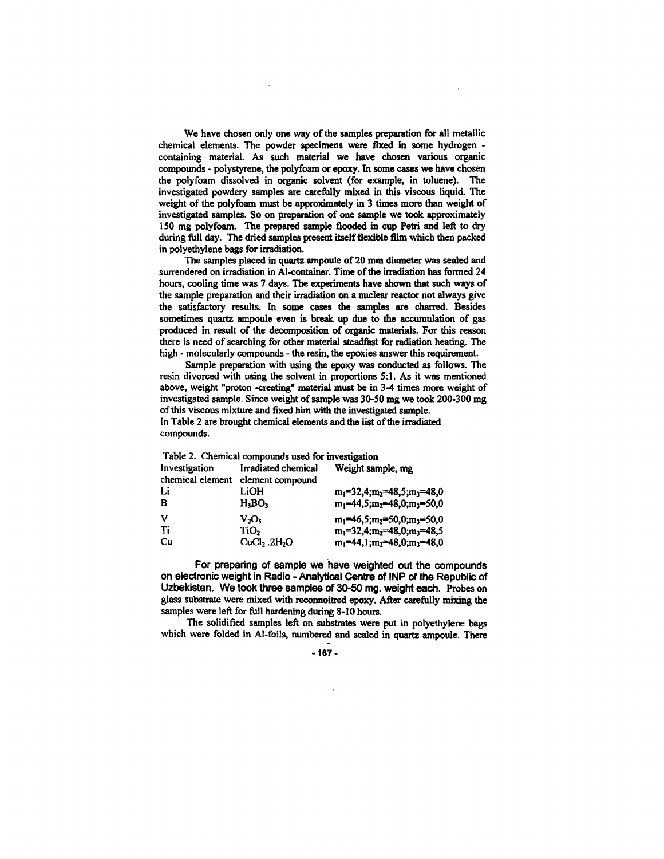**We have chosen only one way of the samples preparation for all metallic chemical elements. The powder specimens were fixed in some hydrogen containing material. As such material we have chosen various organic compounds - polystyrene, the polyfoam or epoxy. In some cases we have chosen the polyfoam dissolved in organic solvent (for example, in toluene). The investigated powdery samples are carefully mixed in this viscous liquid. The weight of the polyfoam must be approximately in 3 times more than weight of investigated samples. So on preparation of one sample we took approximately 150 mg polyfoam. The prepared sample flooded in cup Petri and left to dry during full day. The dried samples present itself flexible film which then packed in polyethylene bags for irradiation.** 

**The samples placed in quartz ampoule of 20 mm diameter was sealed and surrendered on irradiation in Al-container. Time of the irradiation has formed 24 hours, cooling time was 7 days. The experiments have shown that such ways of the sample preparation and their irradiation on a nuclear reactor not always give the satisfactory results. In some cases the samples are charred. Besides sometimes quartz ampoule even is break up due to the accumulation of gas produced in result of the decomposition of organic materials. For this reason there is need of searching for other material steadfast for radiation heating. The high - molecularly compounds - the resin, the epoxies answer this requirement.** 

**Sample preparation with using the epoxy was conducted as follows. The resin divorced with using the solvent in proportions 5:1. As it was mentioned above, weight "proton -creating" material must be in 3-4 times more weight of investigated sample. Since weight of sample was 30-50 mg we took 200-300 mg of this viscous mixture and fixed him with the investigated sample. In Table 2 are brought chemical elements and the list of the irradiated compounds.** 

| Table 2. Chemical compounds used for investigation |                                      |                                         |  |  |  |  |  |
|----------------------------------------------------|--------------------------------------|-----------------------------------------|--|--|--|--|--|
| Investigation                                      | <b>Irradiated chemical</b>           | Weight sample, mg                       |  |  |  |  |  |
|                                                    | chemical element element compound    |                                         |  |  |  |  |  |
| Li                                                 | LiOH                                 | $m_1=32,4$ ; $m_2=48,5$ ; $m_3=48,0$    |  |  |  |  |  |
| B                                                  | H <sub>3</sub> BO <sub>3</sub>       | $m_1$ =44,5; $m_2$ =48,0; $m_3$ =50,0   |  |  |  |  |  |
| v                                                  | V,O.                                 | $m_1=46.5$ ; $m_2=50.0$ ; $m_3=50.0$    |  |  |  |  |  |
| Ti                                                 | TiO,                                 | $m_1 = 32, 4; m_2 = 48, 0; m_3 = 48, 5$ |  |  |  |  |  |
| Cu                                                 | CuCl <sub>2</sub> .2H <sub>2</sub> O | $m_1$ =44,1; $m_2$ =48,0; $m_3$ =48,0   |  |  |  |  |  |

For preparing of sample we have weighted out the compounds on electronic weight in Radio - Analytical Centre of INP of the Republic of Uzbekistan. We took three samples of 30-50 mg. weight each. **Probes on glass substrate were mixed with reconnoitred epoxy. After carefully mixing the samples were left for full hardening during 8-10 hours.** 

**The solidified samples left on substrates were put in polyethylene bags which were folded in Al-foils, numbered and sealed in quartz ampoule. There** 

**-167-**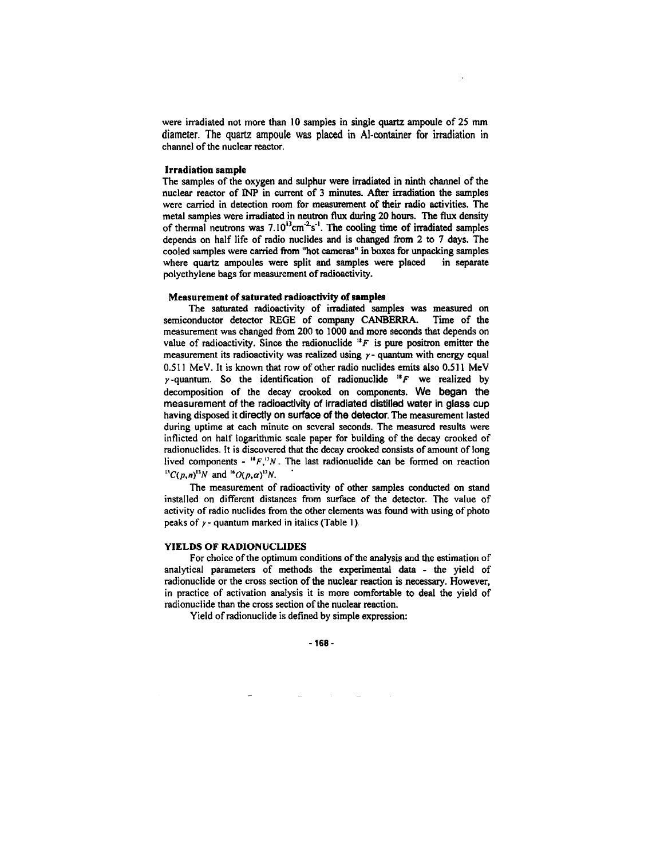**were irradiated** not **more than** 10 **samples in single quartz ampoule** of 23 **mm**  diameter. The quartz ampoule was placed in Al-container for irradiation in **channel of the nuclear reactor.** 

#### **Irradiation sample**

**The samples of the oxygen and sulphur were irradiated in ninth channel of the nuclear reactor of INP in current of 3 minutes. After irradiation the samples were carried in detection room for measurement of their radio activities. The metal samples were irradiated in neutron flux during 20 hours. The flux density**  of thermal neutrons was 7.10<sup>13</sup>cm<sup>-2</sup>s<sup>-1</sup>. The cooling time of irradiated samples **depends on half life of radio nuclides and is changed from 2 to 7 days. The cooled samples were carried from "hot cameras" in boxes for unpacking samples where quartz ampoules were split and samples were placed in separate polyethylene bags for measurement of radioactivity.** 

#### **Measurement of saturated radioactivity of samples**

**The saturated radioactivity of irradiated samples was measured on semiconductor detector REGE of company CANBERRA. Time of the measurement was changed from 200 to 1000 and more seconds that depends on**  value of radioactivity. Since the radionuclide  ${}^{18}F$  is pure positron emitter the **measurement its radioactivity was realized using y- quantum with energy equal**  0.511 **MeV. It is known that row of other radio nuclides emits also** 0.511 **MeV /-quantum. So the identification of radionuclide** *"F* **we realized by decomposition of the decay crooked on components.** We began the measurement of **the** radioactivity of irradiated distilled water in glass cup **having disposed it** directly on surface of the detector. **The measurement lasted during uptime at each minute on several seconds. The measured results were inflicted on half logarithmic scale paper for building of the decay crooked of radionuclides. It is discovered that the decay crooked consists of amount of long**  lived components -  $"F,"N$ . The last radionuclide can be formed on reaction  ${}^{13}C(p,n)^{13}N$  and  ${}^{16}O(p,\alpha)^{13}N$ .

**The measurement of radioactivity of other samples conducted on stand installed on different distances from surface of the detector. The value of activity of radio nuclides from the other elements was found with using of photo peaks of / - quantum marked in italics (Table 1).** 

#### **YIELDS OF RADIONUCLIDES**

**For choice of the optimum conditions of the analysis and the estimation of analytical parameters of methods the experimental data - the yield of radionuclide or the cross section of the nuclear reaction is necessary. However, in practice of activation analysis it is more comfortable to deal the yield of radionuclide than the cross section of the nuclear reaction.** 

**Yield of radionuclide is defined by simple expression:**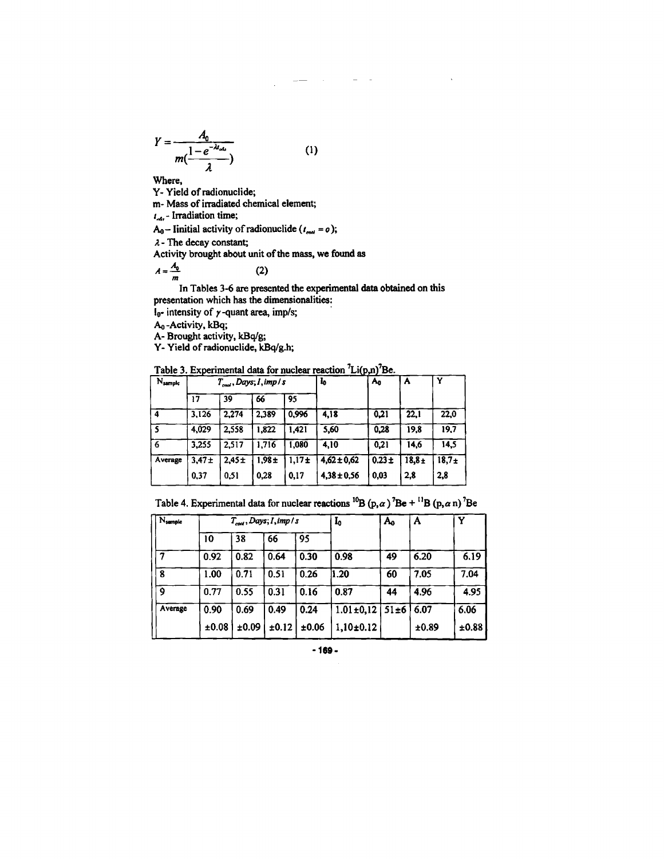$$
Y = \frac{A_0}{m(\frac{1-e^{-\lambda t_{obs}}}{\lambda})}
$$
 (1)

**Where,** 

**Y- Yield of radionuclide;** 

**m- Mass of irradiated chemical element;** 

**t^,- Irradiation time;** 

 $A_0$  – Iinitial activity of radionuclide  $(t_{\text{cool}} = o)$ ;

*X-* **The decay constant;** 

**Activity brought about unit of the mass, we found as** 

$$
A = \frac{A_0}{m} \tag{2}
$$

presentation which has the dimensionalities:

**l**<sub>0</sub>- intensity of  $\gamma$ -quant area, imp/s;

A<sub>0</sub>-Activity, kBq;

A- Brought activity, kBq/g;

Y- Yield of radionuclide, kBq/g.h;

**Table 3. Experimental data for nuclear reaction<sup>7</sup>Li(p,n)<sup>7</sup>Be.** 

| N <sub>sample</sub> | $T_{\text{end}}$ , Days, I, imp / s |       |            |                   | l0              | A <sub>0</sub> | A        | Y       |
|---------------------|-------------------------------------|-------|------------|-------------------|-----------------|----------------|----------|---------|
|                     | 17                                  | 39    | 66         | 95                |                 |                |          |         |
| 4                   | 3.126                               | 2.274 | 2.389      | 0,996             | 4.18            | 0.21           | 22,1     | 22.0    |
|                     | 4,029                               | 2.558 | 1,822      | 1,421             | 5,60            | 0.28           | 19,8     | 19.7    |
| 6                   | 3.255                               | 2,517 | 1.716      | 1.080             | 4.10            | 0.21           | 14,6     | 14,5    |
| Average             | $3.47 +$                            | 2.45± | $1.98 \pm$ | 1,17 <sub>±</sub> | $4,62 \pm 0,62$ | $0.23 +$       | $18.8 +$ | $18,7+$ |
|                     | 0.37                                | 0.51  | 0.28       | 0,17              | $4.38 \pm 0.56$ | 0.03           | 2,8      | 2,8     |

Table 4. Experimental data for nuclear reactions  ${}^{10}B(p, \alpha)$ 

| Nsample |       | $T_{\text{end}},$ Days; I, imp / s |       |       | I0                   | $A_0$ | A     | Y     |
|---------|-------|------------------------------------|-------|-------|----------------------|-------|-------|-------|
|         | 10    | 38                                 | 66    | 95    |                      |       |       |       |
|         | 0.92  | 0.82                               | 0.64  | 0.30  | 0.98                 | 49    | 6.20  | 6.19  |
| 8       | 1.00  | 0.71                               | 0.51  | 0.26  | 1.20                 | 60    | 7.05  | 7.04  |
| ٥       | 0.77  | 0.55                               | 0.31  | 0.16  | 0.87                 | 44    | 4.96  | 4.95  |
| Average | 0.90  | 0.69                               | 0.49  | 0.24  | $1.01 \pm 0.12$ 51±6 |       | 6.07  | 6.06  |
|         | ±0.08 | ±0.09                              | ±0.12 | ±0.06 | $1,10\pm0.12$        |       | ±0.89 | ±0.88 |

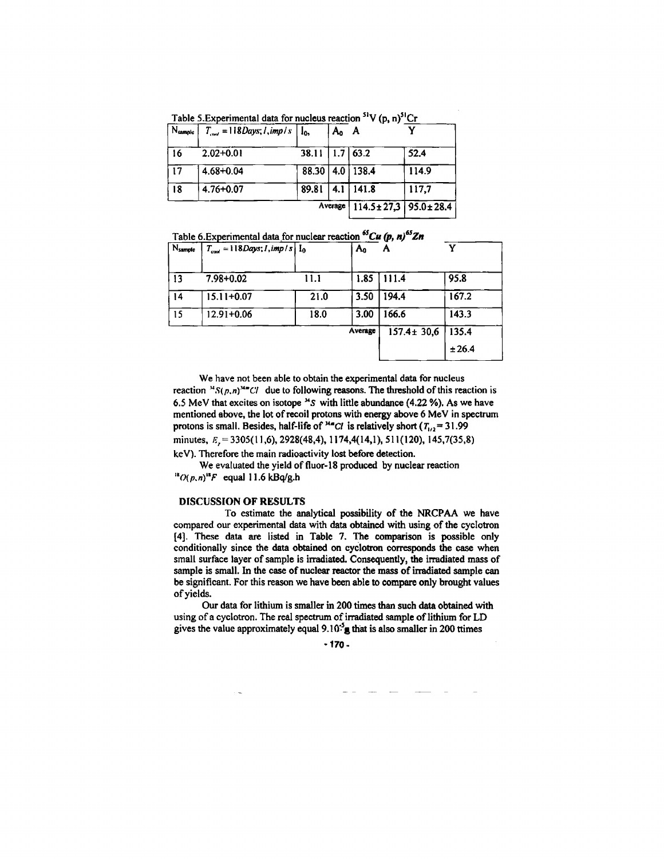|              | Table 5. Experimental data for nucleus reaction "V (p, n)"Cr |       |         |                              |       |
|--------------|--------------------------------------------------------------|-------|---------|------------------------------|-------|
| $N_{sample}$ | $T_{\text{cool}} = 118$ Days; l, imp l s                     | $I_0$ | A٥      |                              |       |
| 16           | $2.02 + 0.01$                                                | 38.11 |         | $1.7$   63.2                 | 52.4  |
| 17           | 4.68+0.04                                                    |       |         | 88.30   4.0   138.4          | 114.9 |
| 18           | $4.76 + 0.07$                                                | 89.81 |         | $4.1$   141.8                | 117.7 |
|              |                                                              |       | Average | $114.5 \pm 27.3$ 95.0 ± 28.4 |       |

**Table S.Experimental data for nucleus reaction<sup>51</sup>V (p, n)5lCr** 

**Table 6.Experimental data for nuclear reaction***<sup>65</sup>Cu (p, n)6SZn* 

| $N_{sample}$     | $T_{cool} = 118$ Days; I, imp / s $I_0$ |      | Aο      | Α                | v      |
|------------------|-----------------------------------------|------|---------|------------------|--------|
| 13               | 7.98+0.02                               | 11.1 | 1.85    | 111.4            | 95.8   |
| 14               | 15.11+0.07                              | 21.0 | 3.50    | 194.4            | 167.2  |
| 15 <sub>15</sub> | 12.91+0.06                              | 18.0 | 3.00    | 166.6            | 143.3  |
|                  |                                         |      | Average | $157.4 \pm 30.6$ | 135.4  |
|                  |                                         |      |         |                  | ± 26.4 |

**We have not been able to obtain the experimental data for nucleus**  reaction  $^M S(p,n)^M C I$  due to following reasons. The threshold of this reaction is 6.5 MeV that excites on isotope <sup>34</sup>S with little abundance (4.22 %). As we have **mentioned above, the lot of recoil protons with energy above 6 MeV in spectrum**  protons is small. Besides, half-life of <sup>*Mm*</sup>*Cl* is relatively short ( $T_{1/2}$  = 31.99 minutes,  $E<sub>r</sub> = 3305(11,6)$ , 2928(48,4), 1174,4(14,1), 511(120), 145,7(35,8) **keV). Therefore the main radioactivity lost before detection.** 

**We evaluated the yield of fluor-18 produced by nuclear reaction** 

*"(Xp\*n)"F* **equal 11.6 kBq/g.h** 

## DISCUSSION OF RESULTS

**To estimate the analytical possibility of the NRCPAA we have compared our experimental data with data obtained with using of the cyclotron [4]. These data are listed in Table 7. The comparison is possible only conditionally since the data obtained on cyclotron corresponds die case when small surface layer of sample is irradiated. Consequently, the irradiated mass of sample is small. In the case of nuclear reactor the mass of irradiated sample can be significant. For this reason we have been able to compare only brought values of yields.** 

**Our data for lithium is smaller in 200 times than such data obtained with using of a cyclotron. The real spectrum of irradiated sample of lithium for LD gives the value approximately equal 9.10"<sup>3</sup> gthat is also smaller in 200 ttimes** 

**-170-**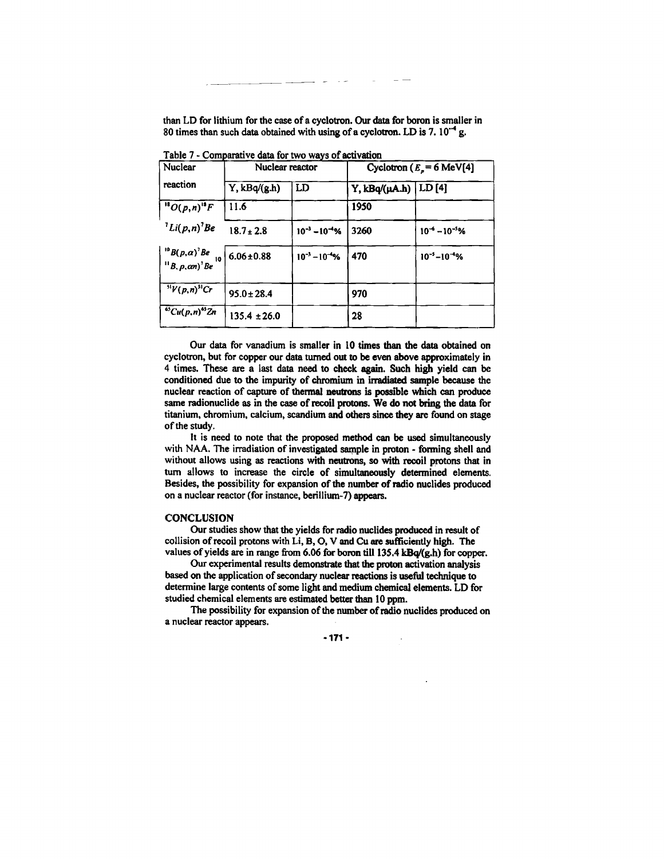**than LD for lithium for the case of a cyclotron. Our data for boron is smaller in 80 times than such data obtained with using of a cyclotron. LD is 7.10"<sup>4</sup> g.** 

| Nuclear                                               | Nuclear reactor  |                       | Cyclotron ( $Ep = 6$ MeV[4] |                       |  |
|-------------------------------------------------------|------------------|-----------------------|-----------------------------|-----------------------|--|
| reaction                                              | $Y$ , $kBq/(gh)$ | LD                    | Y, kBq/(µA.h)               | LD[4]                 |  |
| $^{18}O(p,n)^{18}F$                                   | 11.6             |                       | 1950                        |                       |  |
| $^{7}Li(p,n)^{7}Be$                                   | $18.7 \pm 2.8$   | $10^{-3} - 10^{-4}\%$ | 3260                        | $10^{-6} - 10^{-5}$ % |  |
| $^{10}B(p,\alpha)^7Be$<br>10<br>$B, p, \alpha n)'$ Be | $6.06 \pm 0.88$  | $10^{-3} - 10^{-4}$ % | 470                         | $10^{-5} - 10^{-4}$ % |  |
| $\sqrt[5]{(p,n)^3}$ Cr                                | $95.0 \pm 28.4$  |                       | 970                         |                       |  |
| $^{65}Cu(p, n)^{65}Zn$                                | $135.4 \pm 26.0$ |                       | 28                          |                       |  |

**Table 7 - Comparative data for two ways of activation** 

**Our data for vanadium is smaller in 10 times than the data obtained on cyclotron, but for copper our data turned out to be even above approximately in 4 times. These are a last data need to check again. Such high yield can be conditioned due to the impurity of chromium in irradiated sample because the nuclear reaction of capture of thermal neutrons is possible which can produce same radionuclide as in the case of recoil protons. We do not bring the data for titanium, chromium, calcium, scandium and others since they are found on stage of the study.** 

**It is need to note that the proposed method can be used simultaneously with NAA. The irradiation of investigated sample in proton - forming shell and without allows using as reactions with neutrons, so with recoil protons that in turn allows to increase the circle of simultaneously determined elements. Besides, the possibility for expansion of the number of radio nuclides produced on a nuclear reactor (for instance, berillium-7) appears.** 

### **CONCLUSION**

**Our studies show that the yields for radio nuclides produced in result of collision of recoil protons with Li, B, O, V and Cu are sufficiently high. The values of yields are in range from 6.06 for boron till 135.4 kBq/(g.h) for copper.** 

**Our experimental results demonstrate that the proton activation analysis based on the application of secondary nuclear reactions is useful technique to determine large contents of some light and medium chemical elements. LD for studied chemical elements are estimated better than 10 ppm.** 

**The possibility for expansion of the number of radio nuclides produced on a nuclear reactor appears.** 

**-171-**